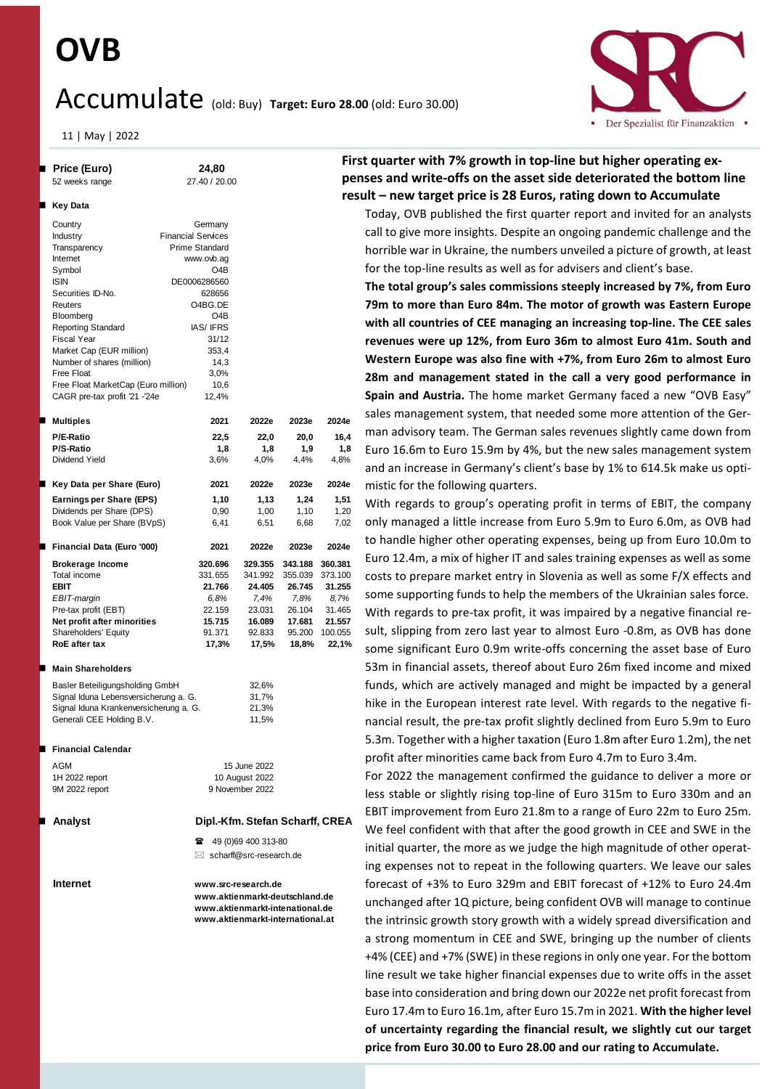# **OVB**

## Accumulate (old: Buy) **Target: Euro 28.00** (old: Euro 30.00)



11 | May | 2022

| <b>Price (Euro)</b><br>52 weeks range  | 24,80<br>27.40 / 20.00           |                                     |         | Fir<br>рe |  |  |  |  |
|----------------------------------------|----------------------------------|-------------------------------------|---------|-----------|--|--|--|--|
| Key Data                               |                                  |                                     |         | re:       |  |  |  |  |
| Country                                | Germany                          |                                     |         |           |  |  |  |  |
| Industry                               | <b>Financial Services</b>        |                                     |         |           |  |  |  |  |
| Transparency                           | <b>Prime Standard</b>            |                                     |         |           |  |  |  |  |
| Internet                               | www.ovb.ag                       |                                     |         |           |  |  |  |  |
| Symbol                                 | O4B                              |                                     |         |           |  |  |  |  |
| <b>ISIN</b>                            | DE0006286560                     |                                     |         |           |  |  |  |  |
| Securities ID-No.                      | 628656                           |                                     |         |           |  |  |  |  |
| Reuters                                | O4BG.DE                          |                                     |         |           |  |  |  |  |
| Bloomberg                              | O <sub>4</sub> B                 |                                     |         |           |  |  |  |  |
| Reporting Standard                     | <b>IAS/IFRS</b>                  |                                     |         |           |  |  |  |  |
| <b>Fiscal Year</b>                     | 31/12                            |                                     |         |           |  |  |  |  |
| Market Cap (EUR million)               | 353,4                            |                                     |         |           |  |  |  |  |
| Number of shares (million)             | 14,3                             |                                     |         |           |  |  |  |  |
| Free Float                             | 3,0%                             |                                     |         |           |  |  |  |  |
| Free Float MarketCap (Euro million)    | 10,6                             |                                     |         |           |  |  |  |  |
| CAGR pre-tax profit '21 -'24e          | 12,4%                            |                                     |         |           |  |  |  |  |
| Multiples                              | 2021                             | 2022e                               | 2023e   | 2024e     |  |  |  |  |
| P/E-Ratio                              | 22,5                             | 22,0                                | 20,0    | 16,4      |  |  |  |  |
| P/S-Ratio                              | 1,8                              | 1,8                                 | 1,9     | 1,8       |  |  |  |  |
| Dividend Yield                         | 3,6%                             | 4,0%                                | 4,4%    | 4,8%      |  |  |  |  |
|                                        |                                  |                                     |         |           |  |  |  |  |
| Key Data per Share (Euro)              | 2021                             | 2022e                               | 2023e   | 2024e     |  |  |  |  |
| Earnings per Share (EPS)               | 1,10                             | 1,13                                | 1,24    | 1,51      |  |  |  |  |
| Dividends per Share (DPS)              | 0,90                             | 1,00                                | 1,10    | 1,20      |  |  |  |  |
| Book Value per Share (BVpS)            | 6,41                             | 6,51                                | 6,68    | 7,02      |  |  |  |  |
| Financial Data (Euro '000)             | 2021                             | 2022e                               | 2023e   | 2024e     |  |  |  |  |
| <b>Brokerage Income</b>                | 320.696                          | 329.355                             | 343.188 | 360.381   |  |  |  |  |
| Total income                           | 331.655                          | 341.992                             | 355.039 | 373.100   |  |  |  |  |
| EBIT                                   | 21.766                           | 24.405                              | 26.745  | 31.255    |  |  |  |  |
| EBIT-margin                            | 6,8%                             | 7,4%                                | 7,8%    | 8,7%      |  |  |  |  |
| Pre-tax profit (EBT)                   | 22.159                           | 23.031                              | 26.104  | 31.465    |  |  |  |  |
| Net profit after minorities            | 15.715                           | 16.089                              | 17.681  | 21.557    |  |  |  |  |
| Shareholders' Equity                   | 91.371                           | 92.833                              | 95.200  | 100.055   |  |  |  |  |
| RoE after tax                          | 17,3%                            | 17,5%                               | 18,8%   | 22,1%     |  |  |  |  |
| <b>Main Shareholders</b>               |                                  |                                     |         |           |  |  |  |  |
| Basler Beteiligungsholding GmbH        |                                  | 32,6%                               |         |           |  |  |  |  |
| Signal Iduna Lebensversicherung a. G.  |                                  | 31,7%                               |         |           |  |  |  |  |
| Signal Iduna Krankenversicherung a. G. |                                  | 21,3%                               |         |           |  |  |  |  |
| Generali CEE Holding B.V.              |                                  | 11,5%                               |         |           |  |  |  |  |
|                                        |                                  |                                     |         |           |  |  |  |  |
| <b>Financial Calendar</b>              |                                  |                                     |         |           |  |  |  |  |
| AGM                                    |                                  | 15 June 2022                        |         |           |  |  |  |  |
| 1H 2022 report                         |                                  | 10 August 2022                      |         |           |  |  |  |  |
| 9M 2022 report                         |                                  | 9 November 2022                     |         |           |  |  |  |  |
| Analyst                                | Dipl.-Kfm. Stefan Scharff, CREA  |                                     |         |           |  |  |  |  |
|                                        | Ŧ                                | 49 (0)69 400 313-80                 |         |           |  |  |  |  |
|                                        |                                  | $\boxtimes$ scharff@src-research.de |         |           |  |  |  |  |
|                                        |                                  |                                     |         |           |  |  |  |  |
| Internet                               | www.src-research.de              |                                     |         |           |  |  |  |  |
|                                        |                                  | www.aktienmarkt-deutschland.de      |         |           |  |  |  |  |
|                                        | www.aktienmarkt-intenational.de  |                                     |         |           |  |  |  |  |
|                                        | www.aktienmarkt-international.at |                                     |         |           |  |  |  |  |
|                                        |                                  |                                     |         |           |  |  |  |  |

### **First quarter with 7% growth in top-line but higher operating expenses and write-offs on the asset side deteriorated the bottom line result – new target price is 28 Euros, rating down to Accumulate**

Today, OVB published the first quarter report and invited for an analysts call to give more insights. Despite an ongoing pandemic challenge and the horrible war in Ukraine, the numbers unveiled a picture of growth, at least for the top-line results as well as for advisers and client's base.

**The total group's sales commissions steeply increased by 7%, from Euro 79m to more than Euro 84m. The motor of growth was Eastern Europe with all countries of CEE managing an increasing top-line. The CEE sales revenues were up 12%, from Euro 36m to almost Euro 41m. South and Western Europe was also fine with +7%, from Euro 26m to almost Euro 28m and management stated in the call a very good performance in Spain and Austria.** The home market Germany faced a new "OVB Easy" sales management system, that needed some more attention of the German advisory team. The German sales revenues slightly came down from Euro 16.6m to Euro 15.9m by 4%, but the new sales management system and an increase in Germany's client's base by 1% to 614.5k make us optimistic for the following quarters.

With regards to group's operating profit in terms of EBIT, the company only managed a little increase from Euro 5.9m to Euro 6.0m, as OVB had to handle higher other operating expenses, being up from Euro 10.0m to Euro 12.4m, a mix of higher IT and sales training expenses as well as some costs to prepare market entry in Slovenia as well as some F/X effects and some supporting funds to help the members of the Ukrainian sales force. With regards to pre-tax profit, it was impaired by a negative financial result, slipping from zero last year to almost Euro -0.8m, as OVB has done some significant Euro 0.9m write-offs concerning the asset base of Euro 53m in financial assets, thereof about Euro 26m fixed income and mixed funds, which are actively managed and might be impacted by a general hike in the European interest rate level. With regards to the negative financial result, the pre-tax profit slightly declined from Euro 5.9m to Euro 5.3m. Together with a higher taxation (Euro 1.8m after Euro 1.2m), the net profit after minorities came back from Euro 4.7m to Euro 3.4m.

For 2022 the management confirmed the guidance to deliver a more or less stable or slightly rising top-line of Euro 315m to Euro 330m and an EBIT improvement from Euro 21.8m to a range of Euro 22m to Euro 25m. We feel confident with that after the good growth in CEE and SWE in the initial quarter, the more as we judge the high magnitude of other operating expenses not to repeat in the following quarters. We leave our sales forecast of +3% to Euro 329m and EBIT forecast of +12% to Euro 24.4m unchanged after 1Q picture, being confident OVB will manage to continue the intrinsic growth story growth with a widely spread diversification and a strong momentum in CEE and SWE, bringing up the number of clients +4% (CEE) and +7% (SWE) in these regions in only one year. For the bottom line result we take higher financial expenses due to write offs in the asset base into consideration and bring down our 2022e net profit forecast from Euro 17.4m to Euro 16.1m, after Euro 15.7m in 2021. **With the higher level of uncertainty regarding the financial result, we slightly cut our target price from Euro 30.00 to Euro 28.00 and our rating to Accumulate.**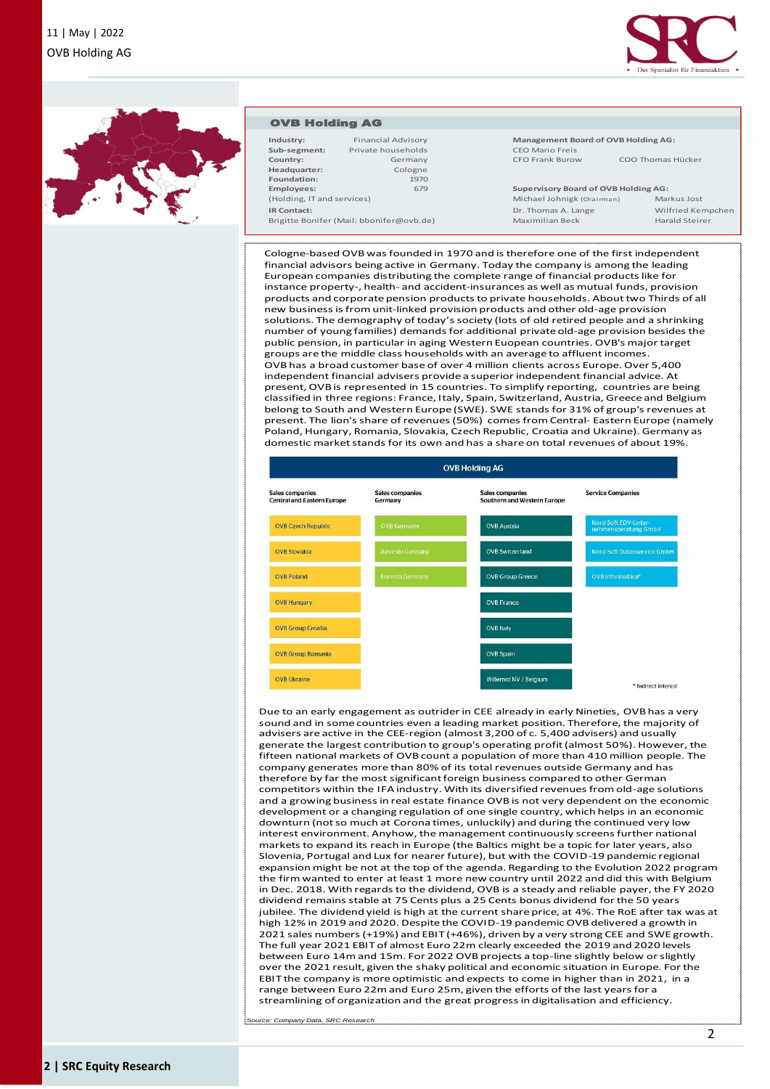



#### OVB Holding AG

| Industry:                                | <b>Financial Advisory</b> |  |  |  |  |
|------------------------------------------|---------------------------|--|--|--|--|
| Sub-segment:                             | Private households        |  |  |  |  |
| Country:                                 | Germany                   |  |  |  |  |
| Headquarter:                             | Cologne                   |  |  |  |  |
| Foundation:                              | 1970                      |  |  |  |  |
| <b>Employees:</b>                        | 679                       |  |  |  |  |
| (Holding, IT and services)               |                           |  |  |  |  |
| <b>IR Contact:</b>                       |                           |  |  |  |  |
| Brigitte Bonifer (Mail: bbonifer@ovb.de) |                           |  |  |  |  |

**Industry:** Financial Advisory **Management Board of OVB Holding AG: CEO Mario Freis** 

CFO Frank Burow COO Thomas Hücker

**Employees:** 679 **Supervisory Board of OVB Holding AG:** Michael Johnigk (Chairman) Markus Jost **IR Commanded Contact:** Dr. Thomas A. Lange Wilfried Kempchen<br>**IR Contact:** Dr. Marald Steirer Maximilian Beck

Cologne-basedOVB was founded in 1970 and is therefore one of the first independent financial advisors being active in Germany. Today the company is among the leading European companies distributing the complete range of financial products like for instance property-, health- and accident-insurances as well as mutual funds, provision products and corporate pension products to private households. About two Thirds of all new business is from unit-linked provision products and other old-age provision solutions. The demography of today's society (lots of old retired people and a shrinking number of young families) demands for additional private old-age provision besides the public pension, in particular in aging Western Euopean countries. OVB's major target groups are the middle class households with an average to affluent incomes. OVB has a broad customer base of over 4 million clients across Europe. Over 5,400 independent financial advisers provide a superior independent financial advice. At present, OVB is represented in 15 countries. To simplify reporting, countries are being classified in three regions: France, Italy, Spain, Switzerland, Austria, Greece and Belgium belong to South and Western Europe (SWE). SWE stands for 31% of group's revenues at present. The lion's share of revenues (50%) comes from Central- Eastern Europe (namely Poland, Hungary, Romania, Slovakia, Czech Republic, Croatia and Ukraine). Germany as domestic market stands for its own and has a share on total revenues of about 19%.



Due to an early engagement as outrider in CEE already in early Nineties, OVB has a very sound and in some countries even a leading market position. Therefore, the majority of advisers are active in the CEE-region (almost 3,200 of c. 5,400 advisers) and usually generate the largest contribution to group's operating profit (almost 50%). However, the fifteen national markets of OVB count a population of more than 410 million people. The company generates more than 80% of its total revenues outside Germany and has therefore by far the most significant foreign business compared to other German competitors within the IFA industry. With its diversified revenues from old-age solutions and a growing business in real estate finance OVB is not very dependent on the economic development or a changing regulation of one single country, which helps in an economic downturn (not so much at Corona times, unluckily) and during the continued very low interest environment. Anyhow, the management continuously screens further national markets to expand its reach in Europe (the Baltics might be a topic for later years, also Slovenia, Portugal and Lux for nearer future), but with the COVID-19 pandemic regional expansion might be not at the top of the agenda. Regarding to the Evolution 2022 program the firm wanted to enter at least 1 more new country until 2022 and did this with Belgium in Dec. 2018. With regards to the dividend, OVB is a steady and reliable payer, the FY 2020 dividend remains stable at 75 Cents plus a 25 Cents bonus dividend for the 50 years jubilee. The dividend yield is high at the current share price, at 4%. The RoE after tax was at high 12% in 2019 and 2020. Despite the COVID-19 pandemic OVB delivered a growth in 2021 sales numbers (+19%) and EBIT (+46%), driven by a very strong CEE and SWE growth. The full year 2021 EBIT of almost Euro 22m clearly exceeded the 2019 and 2020 levels between Euro 14m and 15m. For 2022 OVB projects a top-line slightly below or slightly over the 2021 result, given the shaky political and economic situation in Europe. For the EBIT the company is more optimistic and expects to come in higher than in 2021, in a range between Euro 22m and Euro 25m, given the efforts of the last years for a streamlining of organization and the great progress in digitalisation and efficiency.

*Source: Company Data, SRC Research*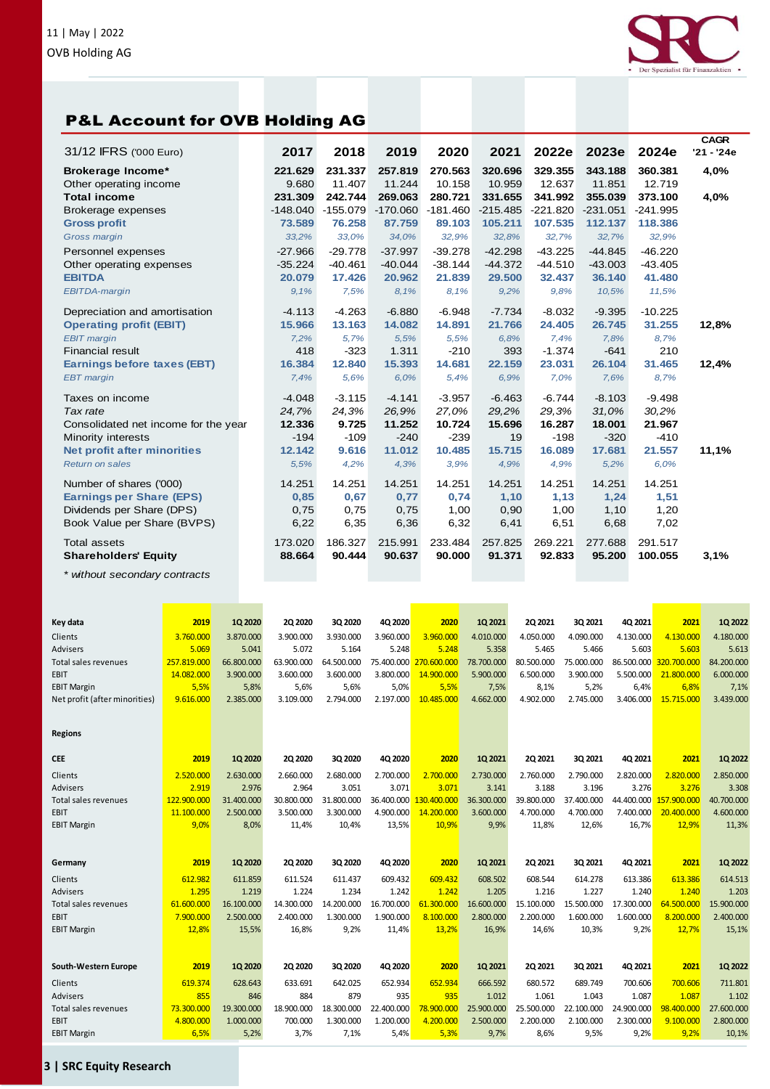



ezialist für Finanzaktien

*\* without secondary contracts*

| Key data                      | 2019        | 1Q 2020    | <b>2Q 2020</b> | 3Q 2020    | 4Q 2020    | 2020        | 1Q 2021    | 2Q 2021    | 3Q 2021    | 4Q 2021    | 2021        | 1Q 2022    |
|-------------------------------|-------------|------------|----------------|------------|------------|-------------|------------|------------|------------|------------|-------------|------------|
| Clients                       | 3.760.000   | 3.870.000  | 3.900.000      | 3.930.000  | 3.960.000  | 3.960.000   | 4.010.000  | 4.050.000  | 4.090.000  | 4.130.000  | 4.130.000   | 4.180.000  |
| <b>Advisers</b>               | 5.069       | 5.041      | 5.072          | 5.164      | 5.248      | 5.248       | 5.358      | 5.465      | 5.466      | 5.603      | 5.603       | 5.613      |
| Total sales revenues          | 257.819.000 | 66.800.000 | 63.900.000     | 64.500.000 | 75.400.000 | 270.600.000 | 78.700.000 | 80.500.000 | 75.000.000 | 86.500.000 | 320.700.000 | 84.200.000 |
| EBIT                          | 14.082.000  | 3.900.000  | 3.600.000      | 3.600.000  | 3.800.000  | 14.900.000  | 5.900.000  | 6.500.000  | 3.900.000  | 5.500.000  | 21,800,000  | 6.000.000  |
| <b>EBIT Margin</b>            | 5,5%        | 5,8%       | 5,6%           | 5,6%       | 5,0%       | 5,5%        | 7,5%       | 8,1%       | 5,2%       | 6,4%       | 6,8%        | 7,1%       |
| Net profit (after minorities) | 9.616.000   | 2.385.000  | 3.109.000      | 2.794.000  | 2.197.000  | 10.485.000  | 4.662.000  | 4.902.000  | 2.745.000  | 3.406.000  | 15.715.000  | 3.439.000  |
|                               |             |            |                |            |            |             |            |            |            |            |             |            |
| <b>Regions</b>                |             |            |                |            |            |             |            |            |            |            |             |            |
| <b>CEE</b>                    | 2019        | 10 20 20   | 20 20 20       | 3Q 2020    | 4Q 2020    | 2020        | 10 2021    | 20 20 21   | 30 2021    | 40 2021    | 2021        | 1Q 2022    |
| Clients                       | 2.520.000   | 2.630.000  | 2.660.000      | 2.680.000  | 2.700.000  | 2.700.000   | 2.730.000  | 2.760.000  | 2.790.000  | 2.820.000  | 2.820.000   | 2.850.000  |
| <b>Advisers</b>               | 2.919       | 2.976      | 2.964          | 3.051      | 3.071      | 3.071       | 3.141      | 3.188      | 3.196      | 3.276      | 3.276       | 3.308      |
| Total sales revenues          | 122.900.000 | 31.400.000 | 30.800.000     | 31.800.000 | 36.400.000 | 130.400.000 | 36.300.000 | 39.800.000 | 37.400.000 | 44.400.000 | 157.900.000 | 40.700.000 |
| EBIT                          | 11.100.000  | 2.500.000  | 3.500.000      | 3.300.000  | 4.900.000  | 14.200.000  | 3.600.000  | 4.700.000  | 4.700.000  | 7.400.000  | 20.400.000  | 4.600.000  |
| <b>EBIT Margin</b>            | 9,0%        | 8,0%       | 11,4%          | 10,4%      | 13,5%      | 10,9%       | 9,9%       | 11,8%      | 12,6%      | 16,7%      | 12,9%       | 11,3%      |
|                               |             |            |                |            |            |             |            |            |            |            |             |            |
| Germany                       | 2019        | 1Q 2020    | 20 20 20       | 3Q 2020    | 4Q 2020    | 2020        | 10 2021    | 20 20 21   | 30 2021    | 4Q 2021    | 2021        | 1Q 2022    |
| Clients                       | 612.982     | 611.859    | 611.524        | 611.437    | 609.432    | 609.432     | 608.502    | 608.544    | 614.278    | 613.386    | 613.386     | 614.513    |
| <b>Advisers</b>               | 1.295       | 1.219      | 1.224          | 1.234      | 1.242      | 1.242       | 1.205      | 1.216      | 1.227      | 1.240      | 1.240       | 1.203      |
| Total sales revenues          | 61.600.000  | 16.100.000 | 14.300.000     | 14.200.000 | 16.700.000 | 61.300.000  | 16.600.000 | 15.100.000 | 15.500.000 | 17.300.000 | 64.500.000  | 15,900,000 |
| EBIT                          | 7.900.000   | 2.500.000  | 2.400.000      | 1.300.000  | 1.900.000  | 8.100.000   | 2.800.000  | 2.200.000  | 1.600.000  | 1.600.000  | 8.200.000   | 2.400.000  |
| <b>EBIT Margin</b>            | 12,8%       | 15,5%      | 16.8%          | 9,2%       | 11,4%      | 13,2%       | 16,9%      | 14,6%      | 10,3%      | 9,2%       | 12.7%       | 15,1%      |
|                               |             |            |                |            |            |             |            |            |            |            |             |            |
| South-Western Europe          | 2019        | 1Q 2020    | <b>2Q 2020</b> | 3Q 2020    | 4Q 2020    | 2020        | 1Q 2021    | 2Q 2021    | 3Q 2021    | 4Q 2021    | 2021        | 1Q 2022    |
| Clients                       | 619.374     | 628.643    | 633.691        | 642.025    | 652.934    | 652.934     | 666.592    | 680.572    | 689.749    | 700.606    | 700.606     | 711.801    |
| <b>Advisers</b>               | 855         | 846        | 884            | 879        | 935        | 935         | 1.012      | 1.061      | 1.043      | 1.087      | 1.087       | 1.102      |
| Total sales revenues          | 73.300.000  | 19.300.000 | 18.900.000     | 18.300.000 | 22.400.000 | 78.900.000  | 25.900.000 | 25.500.000 | 22.100.000 | 24.900.000 | 98.400.000  | 27,600,000 |
| EBIT                          | 4.800.000   | 1.000.000  | 700.000        | 1.300.000  | 1.200.000  | 4.200.000   | 2.500.000  | 2.200.000  | 2.100.000  | 2.300.000  | 9.100.000   | 2.800.000  |
| <b>EBIT Margin</b>            | 6,5%        | 5,2%       | 3,7%           | 7,1%       | 5,4%       | 5,3%        | 9,7%       | 8,6%       | 9,5%       | 9,2%       | 9,2%        | 10,1%      |